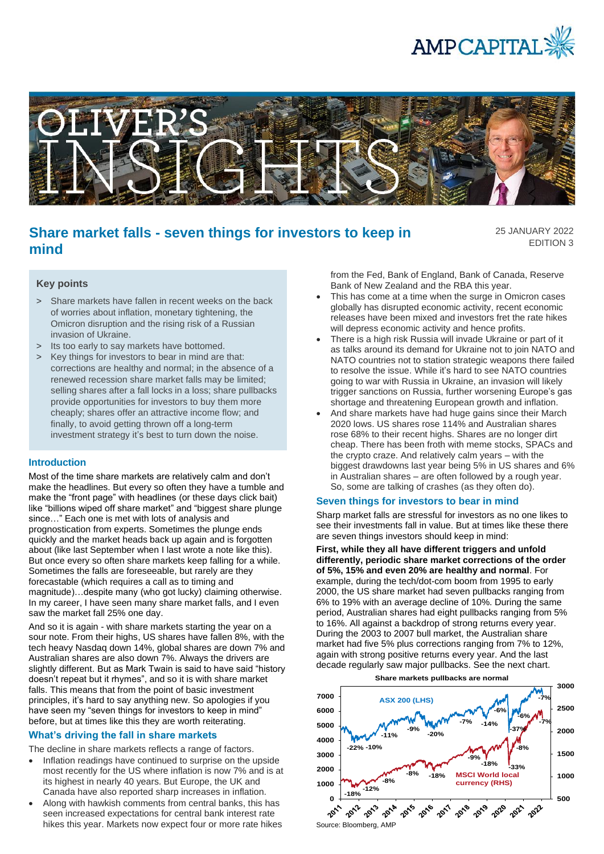



# **Share market falls - seven things for investors to keep in mind**

25 JANUARY 2022 EDITION 3

# **Key points**

- > Share markets have fallen in recent weeks on the back of worries about inflation, monetary tightening, the Omicron disruption and the rising risk of a Russian invasion of Ukraine.
- > Its too early to say markets have bottomed.
- > Key things for investors to bear in mind are that: corrections are healthy and normal; in the absence of a renewed recession share market falls may be limited; selling shares after a fall locks in a loss; share pullbacks provide opportunities for investors to buy them more cheaply; shares offer an attractive income flow; and finally, to avoid getting thrown off a long-term investment strategy it's best to turn down the noise.

## **Introduction**

Most of the time share markets are relatively calm and don't make the headlines. But every so often they have a tumble and make the "front page" with headlines (or these days click bait) like "billions wiped off share market" and "biggest share plunge since…" Each one is met with lots of analysis and prognostication from experts. Sometimes the plunge ends quickly and the market heads back up again and is forgotten about (like last September when I last wrote a note like this). But once every so often share markets keep falling for a while. Sometimes the falls are foreseeable, but rarely are they forecastable (which requires a call as to timing and magnitude)…despite many (who got lucky) claiming otherwise. In my career, I have seen many share market falls, and I even saw the market fall 25% one day.

And so it is again - with share markets starting the year on a sour note. From their highs, US shares have fallen 8%, with the tech heavy Nasdaq down 14%, global shares are down 7% and Australian shares are also down 7%. Always the drivers are slightly different. But as Mark Twain is said to have said "history doesn't repeat but it rhymes", and so it is with share market falls. This means that from the point of basic investment principles, it's hard to say anything new. So apologies if you have seen my "seven things for investors to keep in mind" before, but at times like this they are worth reiterating.

# **What's driving the fall in share markets**

The decline in share markets reflects a range of factors.

- Inflation readings have continued to surprise on the upside most recently for the US where inflation is now 7% and is at its highest in nearly 40 years. But Europe, the UK and Canada have also reported sharp increases in inflation.
- Along with hawkish comments from central banks, this has seen increased expectations for central bank interest rate hikes this year. Markets now expect four or more rate hikes

from the Fed, Bank of England, Bank of Canada, Reserve Bank of New Zealand and the RBA this year.

- This has come at a time when the surge in Omicron cases globally has disrupted economic activity, recent economic releases have been mixed and investors fret the rate hikes will depress economic activity and hence profits.
- There is a high risk Russia will invade Ukraine or part of it as talks around its demand for Ukraine not to join NATO and NATO countries not to station strategic weapons there failed to resolve the issue. While it's hard to see NATO countries going to war with Russia in Ukraine, an invasion will likely trigger sanctions on Russia, further worsening Europe's gas shortage and threatening European growth and inflation.
- And share markets have had huge gains since their March 2020 lows. US shares rose 114% and Australian shares rose 68% to their recent highs. Shares are no longer dirt cheap. There has been froth with meme stocks, SPACs and the crypto craze. And relatively calm years – with the biggest drawdowns last year being 5% in US shares and 6% in Australian shares – are often followed by a rough year. So, some are talking of crashes (as they often do).

#### **Seven things for investors to bear in mind**

Sharp market falls are stressful for investors as no one likes to see their investments fall in value. But at times like these there are seven things investors should keep in mind:

**First, while they all have different triggers and unfold differently, periodic share market corrections of the order of 5%, 15% and even 20% are healthy and normal**. For example, during the tech/dot-com boom from 1995 to early 2000, the US share market had seven pullbacks ranging from 6% to 19% with an average decline of 10%. During the same period, Australian shares had eight pullbacks ranging from 5% to 16%. All against a backdrop of strong returns every year. During the 2003 to 2007 bull market, the Australian share market had five 5% plus corrections ranging from 7% to 12%, again with strong positive returns every year. And the last decade regularly saw major pullbacks. See the next chart.